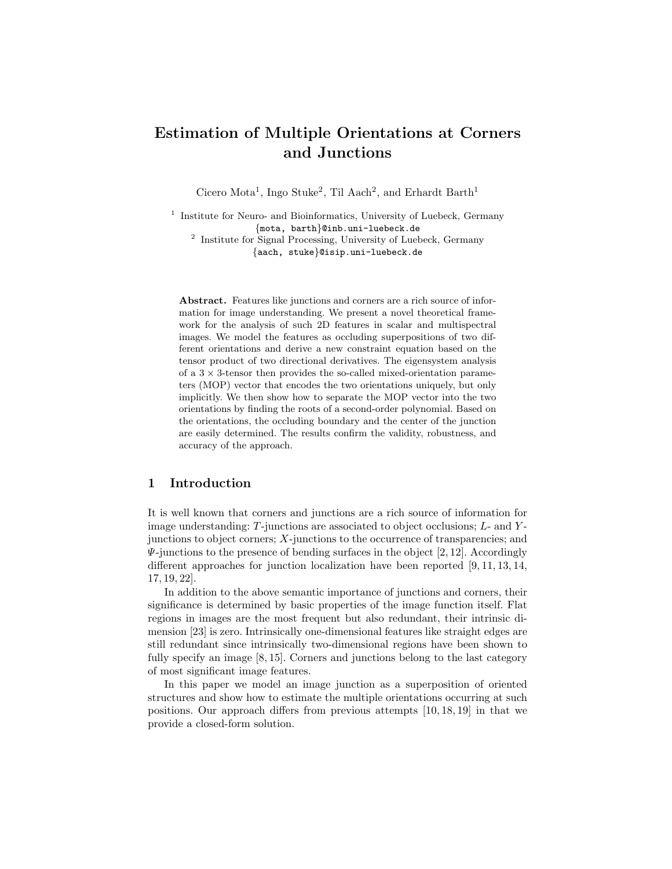# Estimation of Multiple Orientations at Corners and Junctions

Cicero Mota<sup>1</sup>, Ingo Stuke<sup>2</sup>, Til Aach<sup>2</sup>, and Erhardt Barth<sup>1</sup>

<sup>1</sup> Institute for Neuro- and Bioinformatics, University of Luebeck, Germany {mota, barth}@inb.uni-luebeck.de

2 Institute for Signal Processing, University of Luebeck, Germany {aach, stuke}@isip.uni-luebeck.de

Abstract. Features like junctions and corners are a rich source of information for image understanding. We present a novel theoretical framework for the analysis of such 2D features in scalar and multispectral images. We model the features as occluding superpositions of two different orientations and derive a new constraint equation based on the tensor product of two directional derivatives. The eigensystem analysis of a  $3 \times 3$ -tensor then provides the so-called mixed-orientation parameters (MOP) vector that encodes the two orientations uniquely, but only implicitly. We then show how to separate the MOP vector into the two orientations by finding the roots of a second-order polynomial. Based on the orientations, the occluding boundary and the center of the junction are easily determined. The results confirm the validity, robustness, and accuracy of the approach.

# 1 Introduction

It is well known that corners and junctions are a rich source of information for image understanding:  $T$ -junctions are associated to object occlusions;  $L$ - and  $Y$ junctions to object corners;  $X$ -junctions to the occurrence of transparencies; and  $\Psi$ -junctions to the presence of bending surfaces in the object [2, 12]. Accordingly different approaches for junction localization have been reported [9, 11, 13, 14, 17, 19, 22].

In addition to the above semantic importance of junctions and corners, their significance is determined by basic properties of the image function itself. Flat regions in images are the most frequent but also redundant, their intrinsic dimension [23] is zero. Intrinsically one-dimensional features like straight edges are still redundant since intrinsically two-dimensional regions have been shown to fully specify an image [8, 15]. Corners and junctions belong to the last category of most significant image features.

In this paper we model an image junction as a superposition of oriented structures and show how to estimate the multiple orientations occurring at such positions. Our approach differs from previous attempts [10, 18, 19] in that we provide a closed-form solution.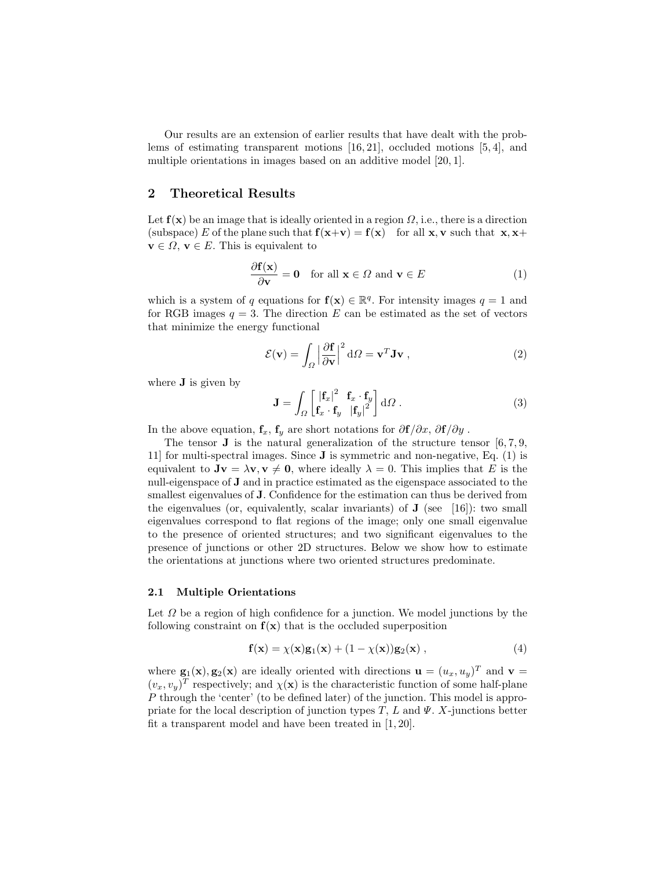Our results are an extension of earlier results that have dealt with the problems of estimating transparent motions [16, 21], occluded motions [5, 4], and multiple orientations in images based on an additive model [20, 1].

# 2 Theoretical Results

Let  $f(x)$  be an image that is ideally oriented in a region  $\Omega$ , i.e., there is a direction (subspace) E of the plane such that  $f(x+v) = f(x)$  for all x, v such that x, x+  $\mathbf{v} \in \Omega$ ,  $\mathbf{v} \in E$ . This is equivalent to

$$
\frac{\partial \mathbf{f}(\mathbf{x})}{\partial \mathbf{v}} = \mathbf{0} \quad \text{for all } \mathbf{x} \in \Omega \text{ and } \mathbf{v} \in E
$$
 (1)

which is a system of q equations for  $f(x) \in \mathbb{R}^q$ . For intensity images  $q = 1$  and for RGB images  $q = 3$ . The direction E can be estimated as the set of vectors that minimize the energy functional

$$
\mathcal{E}(\mathbf{v}) = \int_{\Omega} \left| \frac{\partial \mathbf{f}}{\partial \mathbf{v}} \right|^2 d\Omega = \mathbf{v}^T \mathbf{J} \mathbf{v} , \qquad (2)
$$

where **J** is given by

$$
\mathbf{J} = \int_{\Omega} \begin{bmatrix} \left| \mathbf{f}_x \right|^2 & \mathbf{f}_x \cdot \mathbf{f}_y \\ \mathbf{f}_x \cdot \mathbf{f}_y & \left| \mathbf{f}_y \right|^2 \end{bmatrix} d\Omega \,. \tag{3}
$$

In the above equation,  $\mathbf{f}_x$ ,  $\mathbf{f}_y$  are short notations for  $\partial \mathbf{f}/\partial x$ ,  $\partial \mathbf{f}/\partial y$ .

The tensor **J** is the natural generalization of the structure tensor  $[6, 7, 9]$ , 11] for multi-spectral images. Since J is symmetric and non-negative, Eq. (1) is equivalent to  $Jv = \lambda v, v \neq 0$ , where ideally  $\lambda = 0$ . This implies that E is the null-eigenspace of J and in practice estimated as the eigenspace associated to the smallest eigenvalues of J. Confidence for the estimation can thus be derived from the eigenvalues (or, equivalently, scalar invariants) of  $J$  (see [16]): two small eigenvalues correspond to flat regions of the image; only one small eigenvalue to the presence of oriented structures; and two significant eigenvalues to the presence of junctions or other 2D structures. Below we show how to estimate the orientations at junctions where two oriented structures predominate.

#### 2.1 Multiple Orientations

Let  $\Omega$  be a region of high confidence for a junction. We model junctions by the following constraint on  $f(x)$  that is the occluded superposition

$$
\mathbf{f}(\mathbf{x}) = \chi(\mathbf{x})\mathbf{g}_1(\mathbf{x}) + (1 - \chi(\mathbf{x}))\mathbf{g}_2(\mathbf{x}), \qquad (4)
$$

where  $\mathbf{g}_1(\mathbf{x}), \mathbf{g}_2(\mathbf{x})$  are ideally oriented with directions  $\mathbf{u} = (u_x, u_y)^T$  and  $\mathbf{v} =$  $(v_x, v_y)^T$  respectively; and  $\chi(\mathbf{x})$  is the characteristic function of some half-plane P through the 'center' (to be defined later) of the junction. This model is appropriate for the local description of junction types  $T, L$  and  $\Psi$ . X-junctions better fit a transparent model and have been treated in [1, 20].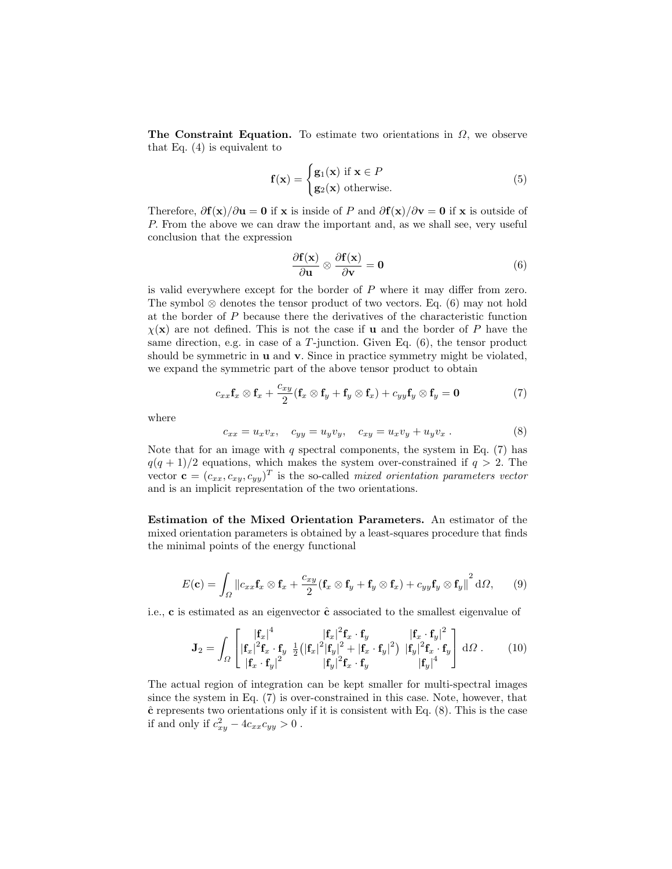The Constraint Equation. To estimate two orientations in  $\Omega$ , we observe that Eq. (4) is equivalent to

$$
\mathbf{f}(\mathbf{x}) = \begin{cases} \mathbf{g}_1(\mathbf{x}) & \text{if } \mathbf{x} \in P \\ \mathbf{g}_2(\mathbf{x}) & \text{otherwise.} \end{cases}
$$
 (5)

Therefore,  $\frac{\partial f(x)}{\partial u} = 0$  if x is inside of P and  $\frac{\partial f(x)}{\partial v} = 0$  if x is outside of P. From the above we can draw the important and, as we shall see, very useful conclusion that the expression

$$
\frac{\partial \mathbf{f}(\mathbf{x})}{\partial \mathbf{u}} \otimes \frac{\partial \mathbf{f}(\mathbf{x})}{\partial \mathbf{v}} = \mathbf{0}
$$
 (6)

is valid everywhere except for the border of  $P$  where it may differ from zero. The symbol  $\otimes$  denotes the tensor product of two vectors. Eq. (6) may not hold at the border of P because there the derivatives of the characteristic function  $\chi(\mathbf{x})$  are not defined. This is not the case if **u** and the border of P have the same direction, e.g. in case of a  $T$ -junction. Given Eq.  $(6)$ , the tensor product should be symmetric in **u** and **v**. Since in practice symmetry might be violated, we expand the symmetric part of the above tensor product to obtain

$$
c_{xx}\mathbf{f}_x \otimes \mathbf{f}_x + \frac{c_{xy}}{2}(\mathbf{f}_x \otimes \mathbf{f}_y + \mathbf{f}_y \otimes \mathbf{f}_x) + c_{yy}\mathbf{f}_y \otimes \mathbf{f}_y = \mathbf{0}
$$
\n(7)

where

$$
c_{xx} = u_x v_x, \quad c_{yy} = u_y v_y, \quad c_{xy} = u_x v_y + u_y v_x. \tag{8}
$$

Note that for an image with  $q$  spectral components, the system in Eq.  $(7)$  has  $q(q + 1)/2$  equations, which makes the system over-constrained if  $q > 2$ . The vector  $\mathbf{c} = (c_{xx}, c_{xy}, c_{yy})^T$  is the so-called mixed orientation parameters vector and is an implicit representation of the two orientations.

Estimation of the Mixed Orientation Parameters. An estimator of the mixed orientation parameters is obtained by a least-squares procedure that finds the minimal points of the energy functional

$$
E(\mathbf{c}) = \int_{\Omega} \|c_{xx}\mathbf{f}_x \otimes \mathbf{f}_x + \frac{c_{xy}}{2} (\mathbf{f}_x \otimes \mathbf{f}_y + \mathbf{f}_y \otimes \mathbf{f}_x) + c_{yy}\mathbf{f}_y \otimes \mathbf{f}_y\|^2 d\Omega, \qquad (9)
$$

i.e.,  $\bf{c}$  is estimated as an eigenvector  $\hat{\bf{c}}$  associated to the smallest eigenvalue of

$$
\mathbf{J}_2 = \int_{\Omega} \begin{bmatrix} |\mathbf{f}_x|^4 & |\mathbf{f}_x|^2 \mathbf{f}_x \cdot \mathbf{f}_y & |\mathbf{f}_x \cdot \mathbf{f}_y|^2 \\ |\mathbf{f}_x|^2 \mathbf{f}_x \cdot \mathbf{f}_y & \frac{1}{2} (|\mathbf{f}_x|^2 |\mathbf{f}_y|^2 + |\mathbf{f}_x \cdot \mathbf{f}_y|^2) & |\mathbf{f}_y|^2 \mathbf{f}_x \cdot \mathbf{f}_y \\ |\mathbf{f}_x \cdot \mathbf{f}_y|^2 & |\mathbf{f}_y|^2 \mathbf{f}_x \cdot \mathbf{f}_y & |\mathbf{f}_y|^4 \end{bmatrix} d\Omega . \qquad (10)
$$

The actual region of integration can be kept smaller for multi-spectral images since the system in Eq. (7) is over-constrained in this case. Note, however, that  $\hat{\mathbf{c}}$  represents two orientations only if it is consistent with Eq. (8). This is the case if and only if  $c_{xy}^2 - 4c_{xx}c_{yy} > 0$ .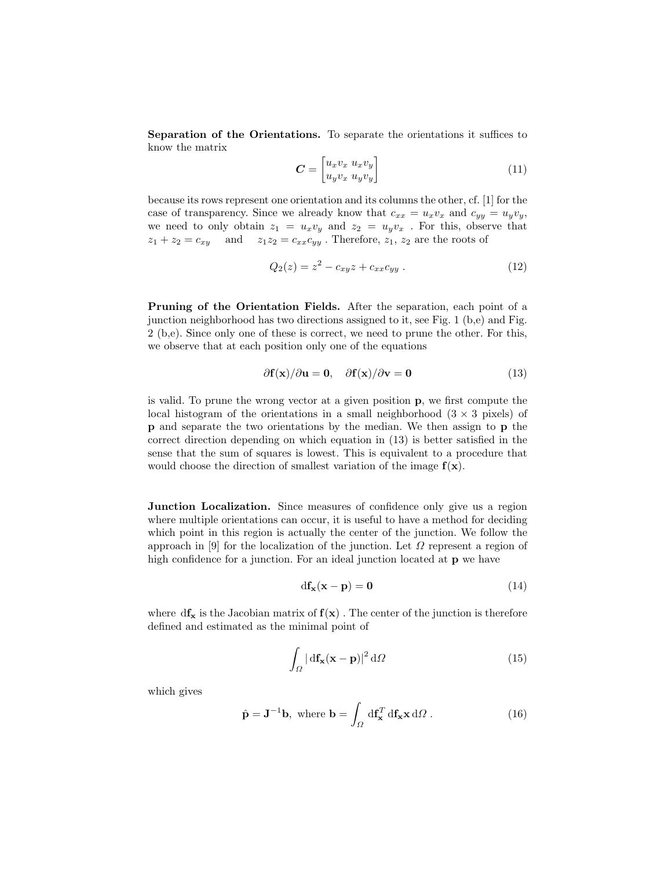Separation of the Orientations. To separate the orientations it suffices to know the matrix

$$
\boldsymbol{C} = \begin{bmatrix} u_x v_x & u_x v_y \\ u_y v_x & u_y v_y \end{bmatrix} \tag{11}
$$

because its rows represent one orientation and its columns the other, cf. [1] for the case of transparency. Since we already know that  $c_{xx} = u_x v_x$  and  $c_{yy} = u_y v_y$ , we need to only obtain  $z_1 = u_x v_y$  and  $z_2 = u_y v_x$ . For this, observe that  $z_1 + z_2 = c_{xy}$  and  $z_1z_2 = c_{xx}c_{yy}$ . Therefore,  $z_1, z_2$  are the roots of

$$
Q_2(z) = z^2 - c_{xy}z + c_{xx}c_{yy} . \t\t(12)
$$

Pruning of the Orientation Fields. After the separation, each point of a junction neighborhood has two directions assigned to it, see Fig. 1 (b,e) and Fig. 2 (b,e). Since only one of these is correct, we need to prune the other. For this, we observe that at each position only one of the equations

$$
\partial \mathbf{f}(\mathbf{x})/\partial \mathbf{u} = \mathbf{0}, \quad \partial \mathbf{f}(\mathbf{x})/\partial \mathbf{v} = \mathbf{0}
$$
 (13)

is valid. To prune the wrong vector at a given position p, we first compute the local histogram of the orientations in a small neighborhood  $(3 \times 3 \text{ pixels})$  of p and separate the two orientations by the median. We then assign to p the correct direction depending on which equation in (13) is better satisfied in the sense that the sum of squares is lowest. This is equivalent to a procedure that would choose the direction of smallest variation of the image  $f(x)$ .

Junction Localization. Since measures of confidence only give us a region where multiple orientations can occur, it is useful to have a method for deciding which point in this region is actually the center of the junction. We follow the approach in [9] for the localization of the junction. Let  $\Omega$  represent a region of high confidence for a junction. For an ideal junction located at **p** we have

$$
df_{\mathbf{x}}(\mathbf{x} - \mathbf{p}) = \mathbf{0} \tag{14}
$$

where  $df_x$  is the Jacobian matrix of  $f(x)$ . The center of the junction is therefore defined and estimated as the minimal point of

$$
\int_{\Omega} |\mathrm{d} \mathbf{f}_{\mathbf{x}}(\mathbf{x} - \mathbf{p})|^2 \, \mathrm{d} \Omega \tag{15}
$$

which gives

$$
\hat{\mathbf{p}} = \mathbf{J}^{-1}\mathbf{b}, \text{ where } \mathbf{b} = \int_{\Omega} d\mathbf{f}_{\mathbf{x}}^{T} d\mathbf{f}_{\mathbf{x}} \mathbf{x} d\Omega.
$$
 (16)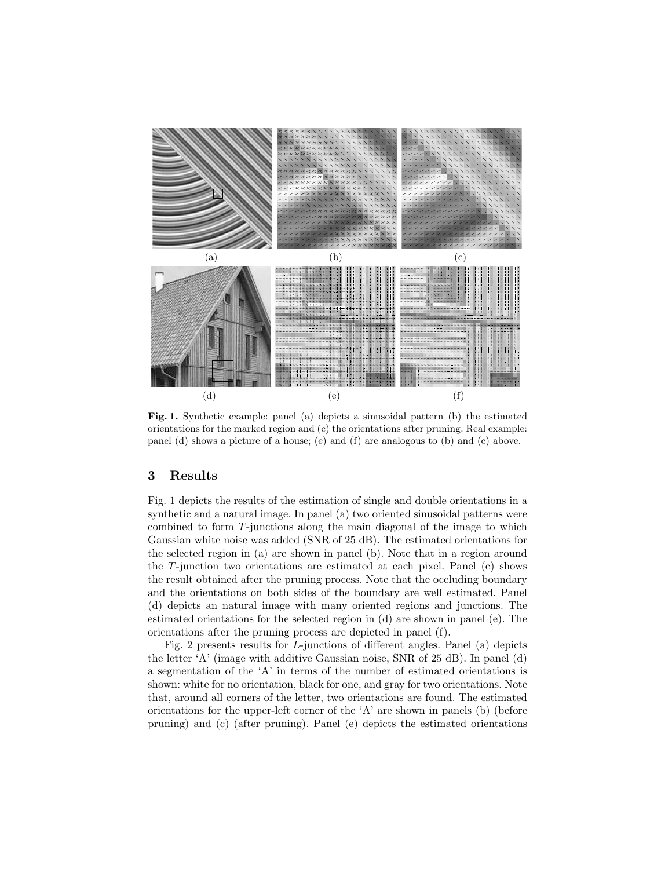

Fig. 1. Synthetic example: panel (a) depicts a sinusoidal pattern (b) the estimated orientations for the marked region and (c) the orientations after pruning. Real example: panel (d) shows a picture of a house; (e) and (f) are analogous to (b) and (c) above.

# 3 Results

Fig. 1 depicts the results of the estimation of single and double orientations in a synthetic and a natural image. In panel (a) two oriented sinusoidal patterns were combined to form T-junctions along the main diagonal of the image to which Gaussian white noise was added (SNR of 25 dB). The estimated orientations for the selected region in (a) are shown in panel (b). Note that in a region around the T-junction two orientations are estimated at each pixel. Panel (c) shows the result obtained after the pruning process. Note that the occluding boundary and the orientations on both sides of the boundary are well estimated. Panel (d) depicts an natural image with many oriented regions and junctions. The estimated orientations for the selected region in (d) are shown in panel (e). The orientations after the pruning process are depicted in panel (f).

Fig. 2 presents results for L-junctions of different angles. Panel (a) depicts the letter 'A' (image with additive Gaussian noise, SNR of 25 dB). In panel (d) a segmentation of the 'A' in terms of the number of estimated orientations is shown: white for no orientation, black for one, and gray for two orientations. Note that, around all corners of the letter, two orientations are found. The estimated orientations for the upper-left corner of the 'A' are shown in panels (b) (before pruning) and (c) (after pruning). Panel (e) depicts the estimated orientations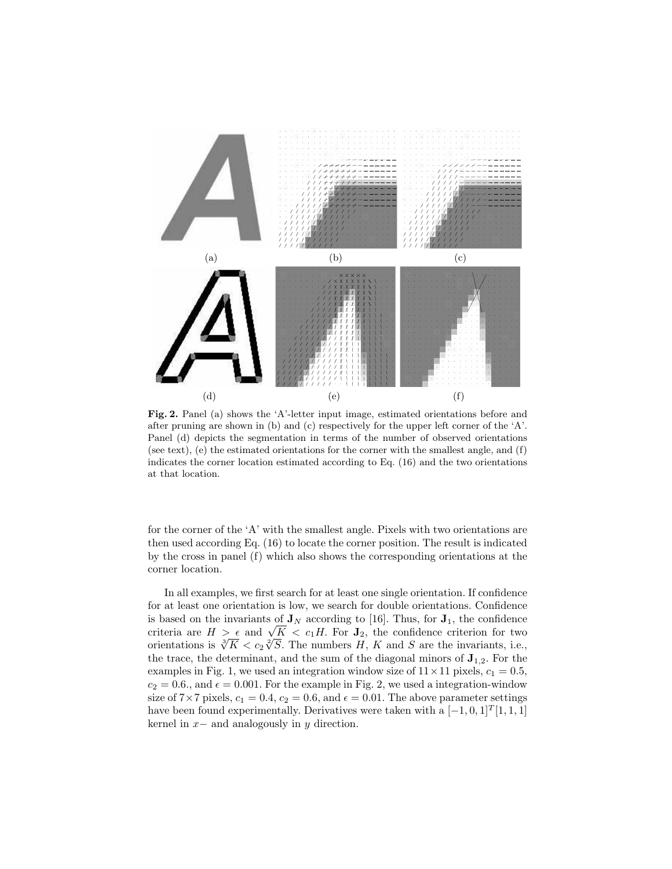

Fig. 2. Panel (a) shows the 'A'-letter input image, estimated orientations before and after pruning are shown in (b) and (c) respectively for the upper left corner of the  $A'$ . Panel (d) depicts the segmentation in terms of the number of observed orientations (see text), (e) the estimated orientations for the corner with the smallest angle, and (f) indicates the corner location estimated according to Eq. (16) and the two orientations at that location.

for the corner of the 'A' with the smallest angle. Pixels with two orientations are then used according Eq. (16) to locate the corner position. The result is indicated by the cross in panel (f) which also shows the corresponding orientations at the corner location.

In all examples, we first search for at least one single orientation. If confidence for at least one orientation is low, we search for double orientations. Confidence is based on the invariants of  $J_N$  according to [16]. Thus, for  $J_1$ , the confidence is based on the invariants of  $J_N$  according to [16]. Thus, for  $J_1$ , the confidence<br>criteria are  $H > \epsilon$  and  $\sqrt{K} < c_1H$ . For  $J_2$ , the confidence criterion for two<br>criterion is  $\sqrt[3]{K} \leq c_1 \sqrt[2]{G}$ . The number II K criteria are  $H > \epsilon$  and  $\sqrt{K} < c_1 H$ . For  $J_2$ , the confidence criterion for two<br>orientations is  $\sqrt[3]{K} < c_2 \sqrt[3]{S}$ . The numbers H, K and S are the invariants, i.e., the trace, the determinant, and the sum of the diagonal minors of  $J_{1,2}$ . For the examples in Fig. 1, we used an integration window size of  $11 \times 11$  pixels,  $c_1 = 0.5$ ,  $c_2 = 0.6$ ., and  $\epsilon = 0.001$ . For the example in Fig. 2, we used a integration-window size of  $7 \times 7$  pixels,  $c_1 = 0.4$ ,  $c_2 = 0.6$ , and  $\epsilon = 0.01$ . The above parameter settings have been found experimentally. Derivatives were taken with a  $[-1, 0, 1]^T[1, 1, 1]$ kernel in  $x-$  and analogously in  $y$  direction.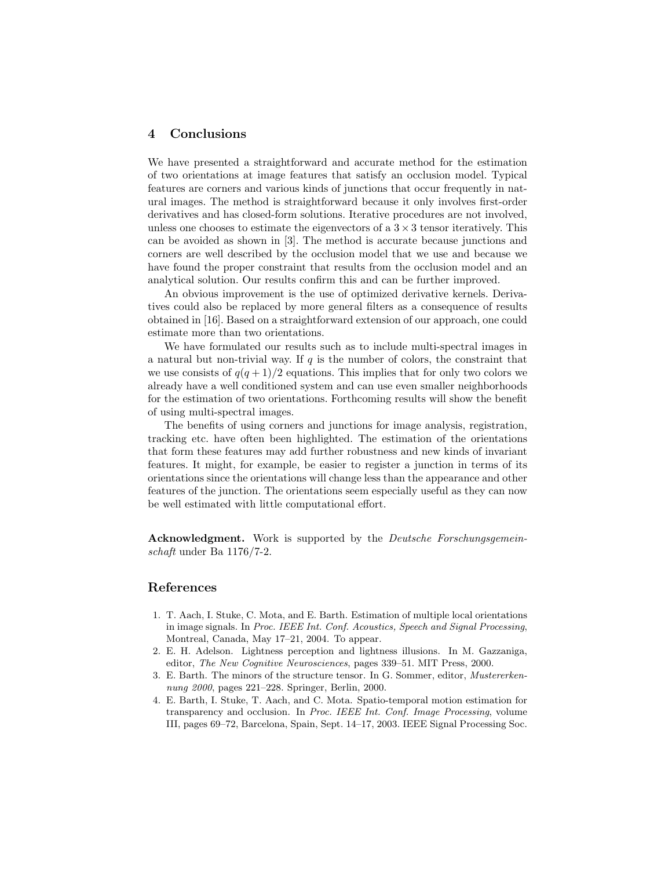### 4 Conclusions

We have presented a straightforward and accurate method for the estimation of two orientations at image features that satisfy an occlusion model. Typical features are corners and various kinds of junctions that occur frequently in natural images. The method is straightforward because it only involves first-order derivatives and has closed-form solutions. Iterative procedures are not involved, unless one chooses to estimate the eigenvectors of a  $3 \times 3$  tensor iteratively. This can be avoided as shown in [3]. The method is accurate because junctions and corners are well described by the occlusion model that we use and because we have found the proper constraint that results from the occlusion model and an analytical solution. Our results confirm this and can be further improved.

An obvious improvement is the use of optimized derivative kernels. Derivatives could also be replaced by more general filters as a consequence of results obtained in [16]. Based on a straightforward extension of our approach, one could estimate more than two orientations.

We have formulated our results such as to include multi-spectral images in a natural but non-trivial way. If  $q$  is the number of colors, the constraint that we use consists of  $q(q+1)/2$  equations. This implies that for only two colors we already have a well conditioned system and can use even smaller neighborhoods for the estimation of two orientations. Forthcoming results will show the benefit of using multi-spectral images.

The benefits of using corners and junctions for image analysis, registration, tracking etc. have often been highlighted. The estimation of the orientations that form these features may add further robustness and new kinds of invariant features. It might, for example, be easier to register a junction in terms of its orientations since the orientations will change less than the appearance and other features of the junction. The orientations seem especially useful as they can now be well estimated with little computational effort.

Acknowledgment. Work is supported by the *Deutsche Forschungsgemein*schaft under Ba 1176/7-2.

# References

- 1. T. Aach, I. Stuke, C. Mota, and E. Barth. Estimation of multiple local orientations in image signals. In Proc. IEEE Int. Conf. Acoustics, Speech and Signal Processing, Montreal, Canada, May 17–21, 2004. To appear.
- 2. E. H. Adelson. Lightness perception and lightness illusions. In M. Gazzaniga, editor, The New Cognitive Neurosciences, pages 339–51. MIT Press, 2000.
- 3. E. Barth. The minors of the structure tensor. In G. Sommer, editor, Mustererkennung 2000, pages 221–228. Springer, Berlin, 2000.
- 4. E. Barth, I. Stuke, T. Aach, and C. Mota. Spatio-temporal motion estimation for transparency and occlusion. In Proc. IEEE Int. Conf. Image Processing, volume III, pages 69–72, Barcelona, Spain, Sept. 14–17, 2003. IEEE Signal Processing Soc.